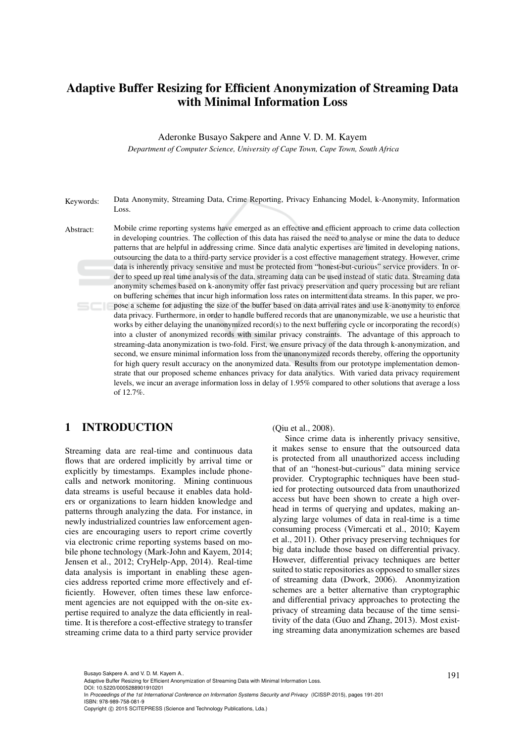# Adaptive Buffer Resizing for Efficient Anonymization of Streaming Data with Minimal Information Loss

Aderonke Busayo Sakpere and Anne V. D. M. Kayem

*Department of Computer Science, University of Cape Town, Cape Town, South Africa*

Keywords: Data Anonymity, Streaming Data, Crime Reporting, Privacy Enhancing Model, k-Anonymity, Information Loss.

Abstract: Mobile crime reporting systems have emerged as an effective and efficient approach to crime data collection in developing countries. The collection of this data has raised the need to analyse or mine the data to deduce patterns that are helpful in addressing crime. Since data analytic expertises are limited in developing nations, outsourcing the data to a third-party service provider is a cost effective management strategy. However, crime data is inherently privacy sensitive and must be protected from "honest-but-curious" service providers. In order to speed up real time analysis of the data, streaming data can be used instead of static data. Streaming data anonymity schemes based on k-anonymity offer fast privacy preservation and query processing but are reliant on buffering schemes that incur high information loss rates on intermittent data streams. In this paper, we propose a scheme for adjusting the size of the buffer based on data arrival rates and use k-anonymity to enforce data privacy. Furthermore, in order to handle buffered records that are unanonymizable, we use a heuristic that works by either delaying the unanonymized record(s) to the next buffering cycle or incorporating the record(s) into a cluster of anonymized records with similar privacy constraints. The advantage of this approach to streaming-data anonymization is two-fold. First, we ensure privacy of the data through k-anonymization, and second, we ensure minimal information loss from the unanonymized records thereby, offering the opportunity for high query result accuracy on the anonymized data. Results from our prototype implementation demonstrate that our proposed scheme enhances privacy for data analytics. With varied data privacy requirement levels, we incur an average information loss in delay of 1.95% compared to other solutions that average a loss of 12.7%.

# 1 INTRODUCTION

Streaming data are real-time and continuous data flows that are ordered implicitly by arrival time or explicitly by timestamps. Examples include phonecalls and network monitoring. Mining continuous data streams is useful because it enables data holders or organizations to learn hidden knowledge and patterns through analyzing the data. For instance, in newly industrialized countries law enforcement agencies are encouraging users to report crime covertly via electronic crime reporting systems based on mobile phone technology (Mark-John and Kayem, 2014; Jensen et al., 2012; CryHelp-App, 2014). Real-time data analysis is important in enabling these agencies address reported crime more effectively and efficiently. However, often times these law enforcement agencies are not equipped with the on-site expertise required to analyze the data efficiently in realtime. It is therefore a cost-effective strategy to transfer streaming crime data to a third party service provider (Qiu et al., 2008).

Since crime data is inherently privacy sensitive, it makes sense to ensure that the outsourced data is protected from all unauthorized access including that of an "honest-but-curious" data mining service provider. Cryptographic techniques have been studied for protecting outsourced data from unauthorized access but have been shown to create a high overhead in terms of querying and updates, making analyzing large volumes of data in real-time is a time consuming process (Vimercati et al., 2010; Kayem et al., 2011). Other privacy preserving techniques for big data include those based on differential privacy. However, differential privacy techniques are better suited to static repositories as opposed to smaller sizes of streaming data (Dwork, 2006). Anonmyization schemes are a better alternative than cryptographic and differential privacy approaches to protecting the privacy of streaming data because of the time sensitivity of the data (Guo and Zhang, 2013). Most existing streaming data anonymization schemes are based

DOI: 10.5220/0005288901910201

Busayo Sakpere A. and V. D. M. Kayem A..<br>Adaptive Buffer Resizing for Efficient Anonymization of Streaming Data with Minimal Information Loss.

In *Proceedings of the 1st International Conference on Information Systems Security and Privacy* (ICISSP-2015), pages 191-201 ISBN: 978-989-758-081-9

Copyright (C) 2015 SCITEPRESS (Science and Technology Publications, Lda.)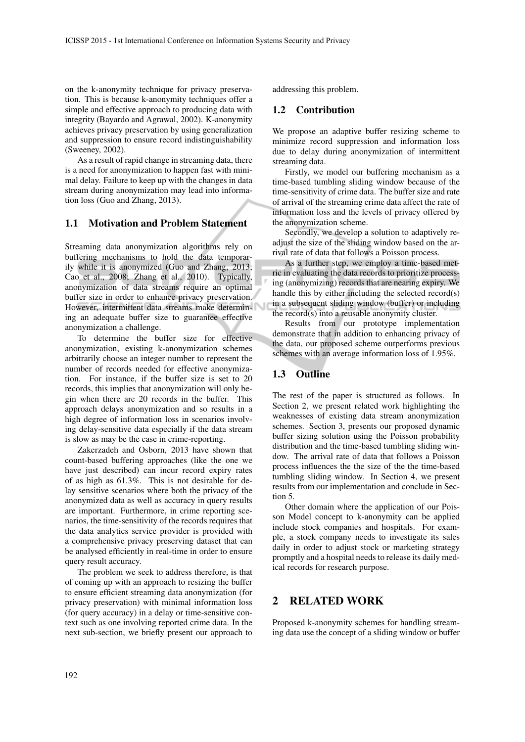on the k-anonymity technique for privacy preservation. This is because k-anonymity techniques offer a simple and effective approach to producing data with integrity (Bayardo and Agrawal, 2002). K-anonymity achieves privacy preservation by using generalization and suppression to ensure record indistinguishability (Sweeney, 2002).

As a result of rapid change in streaming data, there is a need for anonymization to happen fast with minimal delay. Failure to keep up with the changes in data stream during anonymization may lead into information loss (Guo and Zhang, 2013).

### 1.1 Motivation and Problem Statement

Streaming data anonymization algorithms rely on buffering mechanisms to hold the data temporarily while it is anonymized (Guo and Zhang, 2013; Cao et al., 2008; Zhang et al., 2010). Typically, anonymization of data streams require an optimal buffer size in order to enhance privacy preservation. However, intermittent data streams make determining an adequate buffer size to guarantee effective anonymization a challenge.

To determine the buffer size for effective anonymization, existing k-anonymization schemes arbitrarily choose an integer number to represent the number of records needed for effective anonymization. For instance, if the buffer size is set to 20 records, this implies that anonymization will only begin when there are 20 records in the buffer. This approach delays anonymization and so results in a high degree of information loss in scenarios involving delay-sensitive data especially if the data stream is slow as may be the case in crime-reporting.

Zakerzadeh and Osborn, 2013 have shown that count-based buffering approaches (like the one we have just described) can incur record expiry rates of as high as 61.3%. This is not desirable for delay sensitive scenarios where both the privacy of the anonymized data as well as accuracy in query results are important. Furthermore, in crime reporting scenarios, the time-sensitivity of the records requires that the data analytics service provider is provided with a comprehensive privacy preserving dataset that can be analysed efficiently in real-time in order to ensure query result accuracy.

The problem we seek to address therefore, is that of coming up with an approach to resizing the buffer to ensure efficient streaming data anonymization (for privacy preservation) with minimal information loss (for query accuracy) in a delay or time-sensitive context such as one involving reported crime data. In the next sub-section, we briefly present our approach to

addressing this problem.

## 1.2 Contribution

We propose an adaptive buffer resizing scheme to minimize record suppression and information loss due to delay during anonymization of intermittent streaming data.

Firstly, we model our buffering mechanism as a time-based tumbling sliding window because of the time-sensitivity of crime data. The buffer size and rate of arrival of the streaming crime data affect the rate of information loss and the levels of privacy offered by the anonymization scheme.

Secondly, we develop a solution to adaptively readjust the size of the sliding window based on the arrival rate of data that follows a Poisson process.

As a further step, we employ a time-based metric in evaluating the data records to prioritize processing (anonymizing) records that are nearing expiry. We handle this by either including the selected record(s) in a subsequent sliding window (buffer) or including the record(s) into a reusable anonymity cluster.

Results from our prototype implementation demonstrate that in addition to enhancing privacy of the data, our proposed scheme outperforms previous schemes with an average information loss of 1.95%.

## 1.3 Outline

The rest of the paper is structured as follows. In Section 2, we present related work highlighting the weaknesses of existing data stream anonymization schemes. Section 3, presents our proposed dynamic buffer sizing solution using the Poisson probability distribution and the time-based tumbling sliding window. The arrival rate of data that follows a Poisson process influences the the size of the the time-based tumbling sliding window. In Section 4, we present results from our implementation and conclude in Section 5.

Other domain where the application of our Poisson Model concept to k-anonymity can be applied include stock companies and hospitals. For example, a stock company needs to investigate its sales daily in order to adjust stock or marketing strategy promptly and a hospital needs to release its daily medical records for research purpose.

## 2 RELATED WORK

Proposed k-anonymity schemes for handling streaming data use the concept of a sliding window or buffer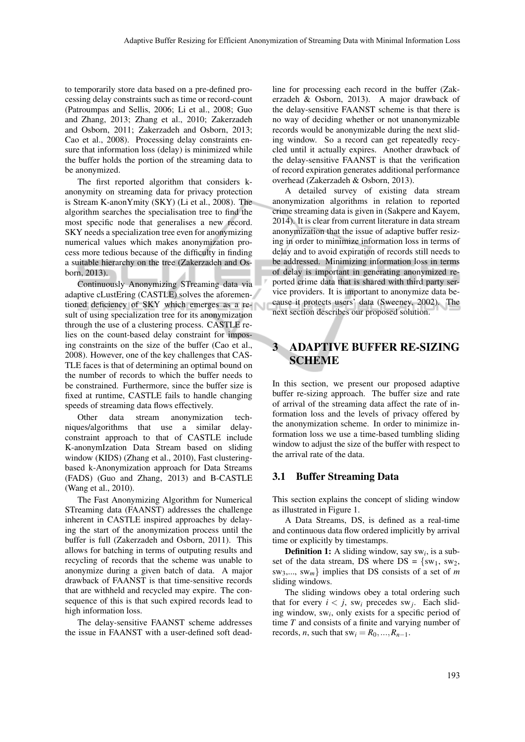to temporarily store data based on a pre-defined processing delay constraints such as time or record-count (Patroumpas and Sellis, 2006; Li et al., 2008; Guo and Zhang, 2013; Zhang et al., 2010; Zakerzadeh and Osborn, 2011; Zakerzadeh and Osborn, 2013; Cao et al., 2008). Processing delay constraints ensure that information loss (delay) is minimized while the buffer holds the portion of the streaming data to be anonymized.

The first reported algorithm that considers kanonymity on streaming data for privacy protection is Stream K-anonYmity (SKY) (Li et al., 2008). The algorithm searches the specialisation tree to find the most specific node that generalises a new record. SKY needs a specialization tree even for anonymizing numerical values which makes anonymization process more tedious because of the difficulty in finding a suitable hierarchy on the tree (Zakerzadeh and Osborn, 2013).

Continuously Anonymizing STreaming data via adaptive cLustEring (CASTLE) solves the aforementioned deficiency of SKY which emerges as a result of using specialization tree for its anonymization through the use of a clustering process. CASTLE relies on the count-based delay constraint for imposing constraints on the size of the buffer (Cao et al., 2008). However, one of the key challenges that CAS-TLE faces is that of determining an optimal bound on the number of records to which the buffer needs to be constrained. Furthermore, since the buffer size is fixed at runtime, CASTLE fails to handle changing speeds of streaming data flows effectively.

Other data stream anonymization techniques/algorithms that use a similar delayconstraint approach to that of CASTLE include K-anonymIzation Data Stream based on sliding window (KIDS) (Zhang et al., 2010), Fast clusteringbased k-Anonymization approach for Data Streams (FADS) (Guo and Zhang, 2013) and B-CASTLE (Wang et al., 2010).

The Fast Anonymizing Algorithm for Numerical STreaming data (FAANST) addresses the challenge inherent in CASTLE inspired approaches by delaying the start of the anonymization process until the buffer is full (Zakerzadeh and Osborn, 2011). This allows for batching in terms of outputing results and recycling of records that the scheme was unable to anonymize during a given batch of data. A major drawback of FAANST is that time-sensitive records that are withheld and recycled may expire. The consequence of this is that such expired records lead to high information loss.

The delay-sensitive FAANST scheme addresses the issue in FAANST with a user-defined soft deadline for processing each record in the buffer (Zakerzadeh & Osborn, 2013). A major drawback of the delay-sensitive FAANST scheme is that there is no way of deciding whether or not unanonymizable records would be anonymizable during the next sliding window. So a record can get repeatedly recycled until it actually expires. Another drawback of the delay-sensitive FAANST is that the verification of record expiration generates additional performance overhead (Zakerzadeh & Osborn, 2013).

A detailed survey of existing data stream anonymization algorithms in relation to reported crime streaming data is given in (Sakpere and Kayem, 2014). It is clear from current literature in data stream anonymization that the issue of adaptive buffer resizing in order to minimize information loss in terms of delay and to avoid expiration of records still needs to be addressed. Minimizing information loss in terms of delay is important in generating anonymized reported crime data that is shared with third party service providers. It is important to anonymize data because it protects users' data (Sweeney, 2002). The next section describes our proposed solution.

# 3 ADAPTIVE BUFFER RE-SIZING SCHEME

In this section, we present our proposed adaptive buffer re-sizing approach. The buffer size and rate of arrival of the streaming data affect the rate of information loss and the levels of privacy offered by the anonymization scheme. In order to minimize information loss we use a time-based tumbling sliding window to adjust the size of the buffer with respect to the arrival rate of the data.

### 3.1 Buffer Streaming Data

This section explains the concept of sliding window as illustrated in Figure 1.

A Data Streams, DS, is defined as a real-time and continuous data flow ordered implicitly by arrival time or explicitly by timestamps.

Definition 1: A sliding window, say sw*<sup>i</sup>* , is a subset of the data stream, DS where  $DS = \{sw_1, sw_2,$ sw3,..., sw*m*} implies that DS consists of a set of *m* sliding windows.

The sliding windows obey a total ordering such that for every  $i < j$ , sw<sub>i</sub> precedes sw<sub>j</sub>. Each sliding window, sw*<sup>i</sup>* , only exists for a specific period of time *T* and consists of a finite and varying number of records, *n*, such that sw<sub>i</sub> =  $R_0$ , ...,  $R_{n-1}$ .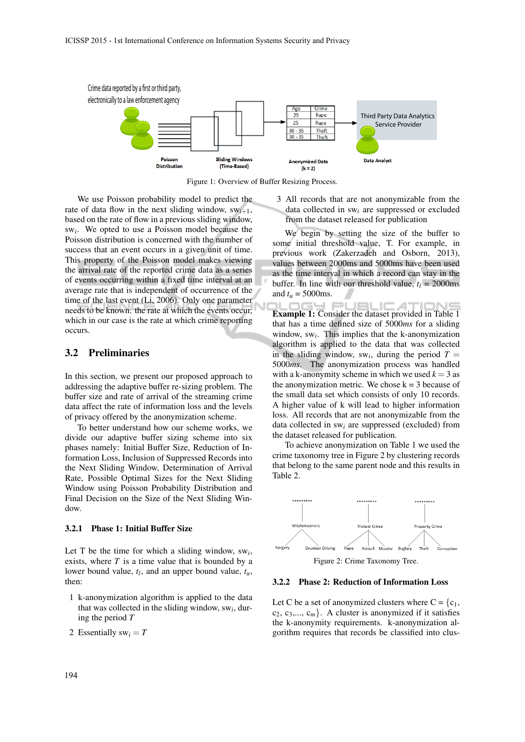

Figure 1: Overview of Buffer Resizing Process.

We use Poisson probability model to predict the rate of data flow in the next sliding window,  $sw_{i+1}$ , based on the rate of flow in a previous sliding window, sw*<sup>i</sup>* . We opted to use a Poisson model because the Poisson distribution is concerned with the number of success that an event occurs in a given unit of time. This property of the Poisson model makes viewing the arrival rate of the reported crime data as a series of events occurring within a fixed time interval at an average rate that is independent of occurrence of the time of the last event (Li, 2006). Only one parameter needs to be known: the rate at which the events occur, which in our case is the rate at which crime reporting occurs.

#### 3.2 Preliminaries

In this section, we present our proposed approach to addressing the adaptive buffer re-sizing problem. The buffer size and rate of arrival of the streaming crime data affect the rate of information loss and the levels of privacy offered by the anonymization scheme.

To better understand how our scheme works, we divide our adaptive buffer sizing scheme into six phases namely: Initial Buffer Size, Reduction of Information Loss, Inclusion of Suppressed Records into the Next Sliding Window, Determination of Arrival Rate, Possible Optimal Sizes for the Next Sliding Window using Poisson Probability Distribution and Final Decision on the Size of the Next Sliding Window.

#### 3.2.1 Phase 1: Initial Buffer Size

Let T be the time for which a sliding window,  $sw_i$ , exists, where *T* is a time value that is bounded by a lower bound value,  $t_l$ , and an upper bound value,  $t_u$ , then:

- 1 k-anonymization algorithm is applied to the data that was collected in the sliding window, sw*<sup>i</sup>* , during the period *T*
- 2 Essentially  $sw_i = T$

3 All records that are not anonymizable from the data collected in sw*<sup>i</sup>* are suppressed or excluded from the dataset released for publication

We begin by setting the size of the buffer to some initial threshold value, T. For example, in previous work (Zakerzadeh and Osborn, 2013), values between 2000ms and 5000ms have been used as the time interval in which a record can stay in the buffer. In line with our threshold value,  $t_l = 2000$ ms and  $t_u = 5000$ ms.

**I PUBLICA** Example 1: Consider the dataset provided in Table 1 that has a time defined size of 5000*ms* for a sliding window, sw*<sup>i</sup>* . This implies that the k-anonymization algorithm is applied to the data that was collected in the sliding window, sw<sub>i</sub>, during the period  $T =$ 5000*ms*. The anonymization process was handled with a k-anonymity scheme in which we used  $k = 3$  as the anonymization metric. We chose  $k = 3$  because of the small data set which consists of only 10 records. A higher value of k will lead to higher information loss. All records that are not anonymizable from the data collected in sw*<sup>i</sup>* are suppressed (excluded) from the dataset released for publication.

To achieve anonymization on Table 1 we used the crime taxonomy tree in Figure 2 by clustering records that belong to the same parent node and this results in Table 2.



### 3.2.2 Phase 2: Reduction of Information Loss

Let C be a set of anonymized clusters where  $C = \{c_1,$  $c_2, c_3,..., c_m$ . A cluster is anonymized if it satisfies the k-anonymity requirements. k-anonymization algorithm requires that records be classified into clus-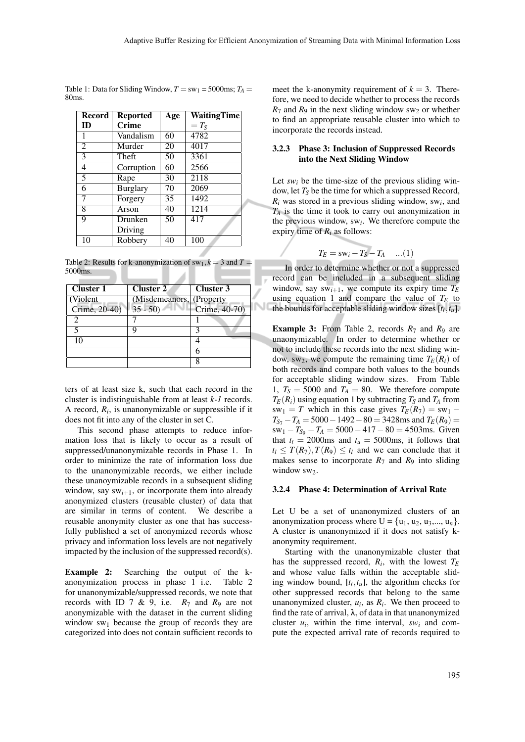Table 1: Data for Sliding Window,  $T = sw_1 = 5000$ ms;  $T_A =$ 80ms.

| Record         | <b>Reported</b> | Age | <b>WaitingTime</b> |
|----------------|-----------------|-----|--------------------|
| ID             | <b>Crime</b>    |     | $=T_{\rm S}$       |
| 1              | Vandalism       | 60  | 4782               |
| $\overline{2}$ | Murder          | 20  | 4017               |
| 3              | Theft           | 50  | 3361               |
| 4              | Corruption      | 60  | 2566               |
| 5              | Rape            | 30  | 2118               |
| 6              | <b>Burglary</b> | 70  | 2069               |
| 7              | Forgery         | 35  | 1492               |
| 8              | Arson           | 40  | 1214               |
| 9              | Drunken         | 50  | 417                |
|                | Driving         |     |                    |
| 10             | Robbery         | 40  | 100                |

Table 2: Results for k-anonymization of  $sw_1, k = 3$  and  $T =$ 5000ms.

| Cluster 1     | <b>Cluster 2</b>          | Cluster 3     |
|---------------|---------------------------|---------------|
| (Violent)     | (Misdemeanors, (Property) |               |
| Crime, 20-40) | $35 - 50$                 | Crime, 40-70) |
|               |                           |               |
|               |                           |               |
| 10            |                           |               |
|               |                           |               |
|               |                           |               |

ters of at least size k, such that each record in the cluster is indistinguishable from at least *k-1* records. A record,  $R_i$ , is unanonymizable or suppressible if it does not fit into any of the cluster in set C.

This second phase attempts to reduce information loss that is likely to occur as a result of suppressed/unanonymizable records in Phase 1. In order to minimize the rate of information loss due to the unanonymizable records, we either include these unanoymizable records in a subsequent sliding window, say  $sw_{i+1}$ , or incorporate them into already anonymized clusters (reusable cluster) of data that are similar in terms of content. We describe a reusable anonymity cluster as one that has successfully published a set of anonymized records whose privacy and information loss levels are not negatively impacted by the inclusion of the suppressed record(s).

Example 2: Searching the output of the kanonymization process in phase 1 i.e. Table 2 for unanonymizable/suppressed records, we note that records with ID 7 & 9, i.e.  $R_7$  and  $R_9$  are not anonymizable with the dataset in the current sliding window  $sw_1$  because the group of records they are categorized into does not contain sufficient records to

meet the k-anonymity requirement of  $k = 3$ . Therefore, we need to decide whether to process the records  $R_7$  and  $R_9$  in the next sliding window sw<sub>2</sub> or whether to find an appropriate reusable cluster into which to incorporate the records instead.

#### 3.2.3 Phase 3: Inclusion of Suppressed Records into the Next Sliding Window

Let  $sw_i$  be the time-size of the previous sliding window, let *T<sup>S</sup>* be the time for which a suppressed Record,  $R_i$  was stored in a previous sliding window, sw<sub>i</sub>, and  $T_A$  is the time it took to carry out anonymization in the previous window,  $sw_i$ . We therefore compute the expiry time of *R<sup>i</sup>* as follows:

$$
T_E = \mathrm{sw}_i - T_S - T_A \quad ...(1)
$$

In order to determine whether or not a suppressed record can be included in a subsequent sliding window, say  $sw_{i+1}$ , we compute its expiry time  $T_E$ using equation 1 and compare the value of  $T_E$  to the bounds for acceptable sliding window sizes [*t<sup>l</sup>* ,*tu*].

**Example 3:** From Table 2, records  $R_7$  and  $R_9$  are unaonymizable. In order to determine whether or not to include these records into the next sliding window, sw<sub>2</sub>, we compute the remaining time  $T_E(R_i)$  of both records and compare both values to the bounds for acceptable sliding window sizes. From Table 1,  $T_S = 5000$  and  $T_A = 80$ . We therefore compute  $T_E(R_i)$  using equation 1 by subtracting  $T_S$  and  $T_A$  from  $sw_1 = T$  which in this case gives  $T_E(R_7) = sw_1 - T$  $T_{S_7} - T_A = 5000 - 1492 - 80 = 3428$ ms and  $T_E(R_9) =$  $sw_1 - T_{S_9} - T_A = 5000 - 417 - 80 = 4503$ ms. Given that  $t_l = 2000$ ms and  $t_u = 5000$ ms, it follows that  $t_l$  <  $T(R_7)$ ,  $T(R_9)$  <  $t_l$  and we can conclude that it makes sense to incorporate  $R_7$  and  $R_9$  into sliding window sw2.

#### 3.2.4 Phase 4: Determination of Arrival Rate

Let U be a set of unanonymized clusters of an anonymization process where  $U = \{u_1, u_2, u_3, \ldots, u_n\}.$ A cluster is unanonymized if it does not satisfy kanonymity requirement.

Starting with the unanonymizable cluster that has the suppressed record, *R<sup>i</sup>* , with the lowest *T<sup>E</sup>* and whose value falls within the acceptable sliding window bound,  $[t_l, t_u]$ , the algorithm checks for other suppressed records that belong to the same unanonymized cluster,  $u_i$ , as  $R_i$ . We then proceed to find the rate of arrival,  $\lambda$ , of data in that unanonymized cluster  $u_i$ , within the time interval,  $sw_i$  and compute the expected arrival rate of records required to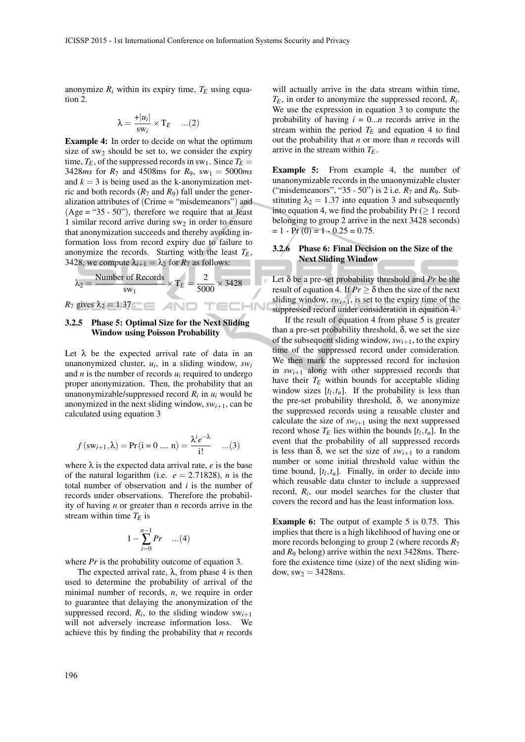anonymize  $R_i$  within its expiry time,  $T_E$  using equation 2.

$$
\lambda = \frac{+|u_i|}{\text{sw}_i} \times \text{T}_E \quad ...(2)
$$

Example 4: In order to decide on what the optimum size of  $sw_2$  should be set to, we consider the expiry time,  $T_E$ , of the suppressed records in sw<sub>1</sub>. Since  $T_E$  = 3428*ms* for  $R_7$  and 4508ms for  $R_9$ , sw<sub>1</sub> = 5000*ms* and  $k = 3$  is being used as the k-anonymization metric and both records  $(R_7 \text{ and } R_9)$  fall under the generalization attributes of (Crime = "misdemeanors") and  $(Age = "35 - 50")$ , therefore we require that at least 1 similar record arrive during  $sw_2$  in order to ensure that anonymization succeeds and thereby avoiding information loss from record expiry due to failure to anonymize the records. Starting with the least *TE*, 3428, we compute  $\lambda_{i+1} = \lambda_2$  for  $R_7$  as follows:

$$
\lambda_2 = \frac{\text{Number of Records}}{\text{sw}_1} \times \text{T}_E = \frac{2}{5000} \times 3428
$$

-IN

*R*<sub>7</sub> gives  $\lambda_2 = 1.37$ .

#### 3.2.5 Phase 5: Optimal Size for the Next Sliding Window using Poisson Probability

Let  $\lambda$  be the expected arrival rate of data in an unanonymized cluster, *u<sup>i</sup>* , in a sliding window, *sw<sup>i</sup>* and  $n$  is the number of records  $u_i$  required to undergo proper anonymization. Then, the probability that an unanonymizable/suppressed record *R<sup>i</sup>* in *u<sup>i</sup>* would be anonymized in the next sliding window,  $sw_{i+1}$ , can be calculated using equation 3

$$
f(\mathbf{sw}_{i+1}, \lambda) = \Pr(i = 0 \dots n) = \frac{\lambda^i e^{-\lambda}}{i!} \quad ...(3)
$$

where  $\lambda$  is the expected data arrival rate, *e* is the base of the natural logarithm (i.e.  $e = 2.71828$ ), *n* is the total number of observation and *i* is the number of records under observations. Therefore the probability of having *n* or greater than *n* records arrive in the stream within time  $T_E$  is

$$
1 - \sum_{i=0}^{n-1} Pr \quad ...(4)
$$

where *Pr* is the probability outcome of equation 3.

The expected arrival rate,  $\lambda$ , from phase 4 is then used to determine the probability of arrival of the minimal number of records, *n*, we require in order to guarantee that delaying the anonymization of the suppressed record,  $R_i$ , to the sliding window  $sw_{i+1}$ will not adversely increase information loss. We achieve this by finding the probability that *n* records will actually arrive in the data stream within time,  $T_E$ , in order to anonymize the suppressed record,  $R_i$ . We use the expression in equation 3 to compute the probability of having  $i = 0...n$  records arrive in the stream within the period  $T_E$  and equation 4 to find out the probability that *n* or more than *n* records will arrive in the stream within *TE*.

Example 5: From example 4, the number of unanonymizable records in the unaonymizable cluster ("misdemeanors", "35 - 50") is 2 i.e. *R*<sup>7</sup> and *R*9. Substituting  $\lambda_2 = 1.37$  into equation 3 and subsequently into equation 4, we find the probability  $Pr$  ( $\geq 1$  record belonging to group 2 arrive in the next 3428 seconds)  $= 1 - Pr(0) = 1 - 0.25 = 0.75.$ 

#### 3.2.6 Phase 6: Final Decision on the Size of the Next Sliding Window

Let δ be a pre-set probability threshold and *Pr* be the result of equation 4. If  $Pr \geq \delta$  then the size of the next sliding window,  $sw_{i+1}$ , is set to the expiry time of the suppressed record under consideration in equation 4.

If the result of equation 4 from phase 5 is greater than a pre-set probability threshold,  $\delta$ , we set the size of the subsequent sliding window,  $sw_{i+1}$ , to the expiry time of the suppressed record under consideration. We then mark the suppressed record for inclusion in  $sw_{i+1}$  along with other suppressed records that have their  $T_E$  within bounds for acceptable sliding window sizes  $[t_l, t_u]$ . If the probability is less than the pre-set probability threshold,  $\delta$ , we anonymize the suppressed records using a reusable cluster and calculate the size of  $sw_{i+1}$  using the next suppressed record whose  $T_E$  lies within the bounds  $[t_l, t_u]$ . In the event that the probability of all suppressed records is less than  $\delta$ , we set the size of  $sw_{i+1}$  to a random number or some initial threshold value within the time bound,  $[t_l, t_u]$ . Finally, in order to decide into which reusable data cluster to include a suppressed record, *R<sup>i</sup>* , our model searches for the cluster that covers the record and has the least information loss.

Example 6: The output of example 5 is 0.75. This implies that there is a high likelihood of having one or more records belonging to group 2 (where records *R*<sup>7</sup> and *R*<sup>9</sup> belong) arrive within the next 3428ms. Therefore the existence time (size) of the next sliding window,  $sw_2 = 3428$ ms.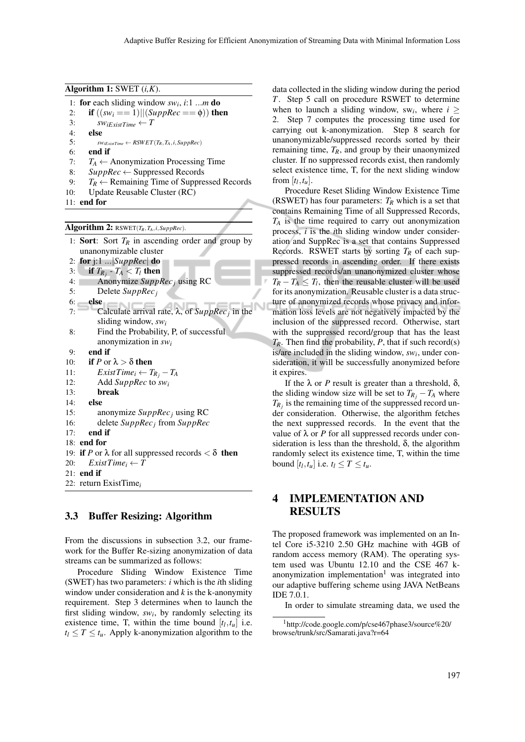Algorithm 1: SWET (*i,K*).

1: for each sliding window  $sw_i$ , *i*:1 ...*m* do

```
2: if ((sw_i == 1)||(SuppRec == \phi)) then
```

```
3: sW_iExistTime \leftarrow T
```

```
4: else<br>5: \frac{1}{5}
```

```
sw_{iExistTime} \leftarrow RSWET(T_R, T_A, i, \text{SuppRec})
```
- 6: end if
- 7:  $T_A \leftarrow$  Anonymization Processing Time
- 8:  $SuppRec \leftarrow Suppose$ Suppressed Records
- 9:  $T_R \leftarrow$  Remaining Time of Suppressed Records
- 10: Update Reusable Cluster (RC)
- 11: end for

Algorithm 2: RSWET $(T_R, T_A, i, \text{SuppRec})$ .

1: **Sort**: Sort  $T_R$  in ascending order and group by unanonymizable cluster 2: for j:1 ...|*SuppRec*| do 3: if  $T_{R_j}$  –  $T_A < T_l$  then 4: Anonymize *SuppRec<sup>j</sup>* using RC 5: Delete *SuppRec<sup>j</sup>* 6: else 7: Calculate arrival rate, λ, of *SuppRec<sup>j</sup>* in the sliding window, *sw<sup>i</sup>* 8: Find the Probability, P, of successful anonymization in *sw<sup>i</sup>* 9: end if 10: **if** *P* or  $\lambda > \delta$  then 11: *ExistTime<sub>i</sub>* ←  $T_{R_j} - T_A$ <br>12: Add SuppRec to sw<sub>i</sub> 12: Add *SuppRec* to *sw<sup>i</sup>* 13: break 14: else 15: anonymize *SuppRec<sup>j</sup>* using RC 16: delete *SuppRec<sup>j</sup>* from *SuppRec*  $17<sup>·</sup>$  end if 18: end for 19: **if** *P* or  $\lambda$  for all suppressed records  $\lt \delta$  **then** 20:  $ExistTime_i \leftarrow T$  $21:$  end if 22: return ExistTime*<sup>i</sup>*

### 3.3 Buffer Resizing: Algorithm

From the discussions in subsection 3.2, our framework for the Buffer Re-sizing anonymization of data streams can be summarized as follows:

Procedure Sliding Window Existence Time (SWET) has two parameters: *i* which is the *i*th sliding window under consideration and *k* is the k-anonymity requirement. Step 3 determines when to launch the first sliding window, *sw<sup>i</sup>* , by randomly selecting its existence time, T, within the time bound  $[t_l, t_u]$  i.e.  $t_l \leq T \leq t_u$ . Apply k-anonymization algorithm to the data collected in the sliding window during the period *T*. Step 5 call on procedure RSWET to determine when to launch a sliding window, sw<sub>i</sub>, where  $i \geq$ 2. Step 7 computes the processing time used for carrying out k-anonymization. Step 8 search for unanonymizable/suppressed records sorted by their remaining time,  $T_R$ , and group by their unaonymized cluster. If no suppressed records exist, then randomly select existence time, T, for the next sliding window from  $[t_l, t_u]$ .

Procedure Reset Sliding Window Existence Time (RSWET) has four parameters:  $T_R$  which is a set that contains Remaining Time of all Suppressed Records,  $T_A$  is the time required to carry out anonymization process, *i* is the *i*th sliding window under consideration and SuppRec is a set that contains Suppressed Records. RSWET starts by sorting *T<sup>R</sup>* of each suppressed records in ascending order. If there exists suppressed records/an unanonymized cluster whose  $T_R - T_A \leq T_l$ , then the reusable cluster will be used for its anonymization. Reusable cluster is a data structure of anonymized records whose privacy and information loss levels are not negatively impacted by the inclusion of the suppressed record. Otherwise, start with the suppressed record/group that has the least  $T_R$ . Then find the probability, *P*, that if such record(s) is/are included in the sliding window, *sw<sup>i</sup>* , under consideration, it will be successfully anonymized before it expires.

If the  $λ$  or *P* result is greater than a threshold,  $δ$ , the sliding window size will be set to  $T_{R_i} - T_A$  where  $T_{R_j}$  is the remaining time of the suppressed record under consideration. Otherwise, the algorithm fetches the next suppressed records. In the event that the value of  $\lambda$  or *P* for all suppressed records under consideration is less than the threshold,  $\delta$ , the algorithm randomly select its existence time, T, within the time bound  $[t_l, t_u]$  i.e.  $t_l \leq T \leq t_u$ .

# 4 IMPLEMENTATION AND RESULTS

The proposed framework was implemented on an Intel Core i5-3210 2.50 GHz machine with 4GB of random access memory (RAM). The operating system used was Ubuntu 12.10 and the CSE 467 kanonymization implementation<sup>1</sup> was integrated into our adaptive buffering scheme using JAVA NetBeans IDE 7.0.1.

In order to simulate streaming data, we used the

<sup>1</sup>http://code.google.com/p/cse467phase3/source%20/ browse/trunk/src/Samarati.java?r=64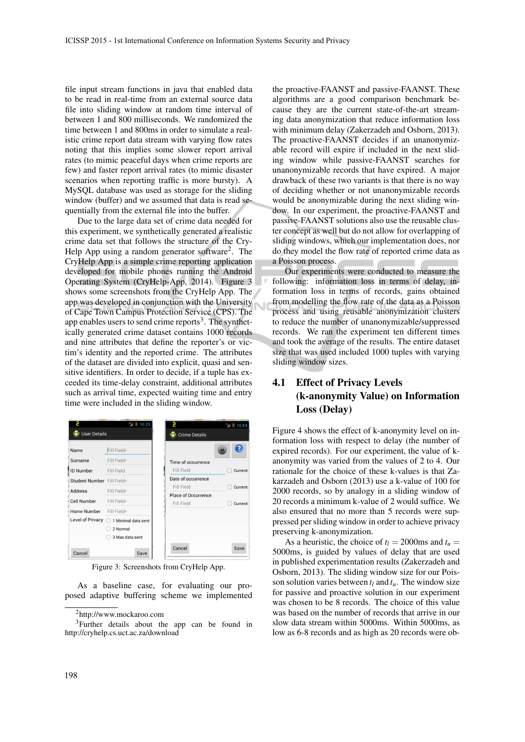file input stream functions in java that enabled data to be read in real-time from an external source data file into sliding window at random time interval of between 1 and 800 milliseconds. We randomized the time between 1 and 800ms in order to simulate a realistic crime report data stream with varying flow rates noting that this implies some slower report arrival rates (to mimic peaceful days when crime reports are few) and faster report arrival rates (to mimic disaster scenarios when reporting traffic is more bursty). A MySQL database was used as storage for the sliding window (buffer) and we assumed that data is read sequentially from the external file into the buffer.

Due to the large data set of crime data needed for this experiment, we synthetically generated a realistic crime data set that follows the structure of the Cry-Help App using a random generator software<sup>2</sup>. The CryHelp App is a simple crime reporting application developed for mobile phones running the Android Operating System (CryHelp-App, 2014). Figure 3 shows some screenshots from the CryHelp App. The app was developed in conjunction with the University of Cape Town Campus Protection Service (CPS). The app enables users to send crime reports<sup>3</sup>. The synthetically generated crime dataset contains 1000 records and nine attributes that define the reporter's or victim's identity and the reported crime. The attributes of the dataset are divided into explicit, quasi and sensitive identifiers. In order to decide, if a tuple has exceeded its time-delay constraint, additional attributes such as arrival time, expected waiting time and entry time were included in the sliding window.

|                            | 36 10:23                       |                                   | <sup>36</sup> <sub>4</sub> 10:54 |
|----------------------------|--------------------------------|-----------------------------------|----------------------------------|
| <b>User Details</b>        |                                | <b>Crime Details</b>              |                                  |
| Name                       | Fill Field*                    |                                   |                                  |
| Surname                    | Fill Field*                    | Time of occurrence                |                                  |
| <b>ID Number</b>           | Fill Field                     | Fill Field                        | Current                          |
| Student Number Fill Field* |                                | Date of occurrence                |                                  |
| Address                    | Fill Field*                    | Fill Field<br>Place of Occurrence | Current                          |
| Cell Number                | Fill Field*                    | Fill Field                        | Current                          |
| Home Number                | Fill Field*                    |                                   |                                  |
| Level of Privacy           | $\bigcirc$ 1 Minimal data sent |                                   |                                  |
|                            | 2 Normal                       |                                   |                                  |
|                            | 3 Max data sent                |                                   |                                  |
| Cancel                     | Save                           | Cancel                            | Save                             |

Figure 3: Screenshots from CryHelp App.

As a baseline case, for evaluating our proposed adaptive buffering scheme we implemented

the proactive-FAANST and passive-FAANST. These algorithms are a good comparison benchmark because they are the current state-of-the-art streaming data anonymization that reduce information loss with minimum delay (Zakerzadeh and Osborn, 2013). The proactive-FAANST decides if an unanonymizable record will expire if included in the next sliding window while passive-FAANST searches for unanonymizable records that have expired. A major drawback of these two variants is that there is no way of deciding whether or not unanonymizable records would be anonymizable during the next sliding window. In our experiment, the proactive-FAANST and passive-FAANST solutions also use the reusable cluster concept as well but do not allow for overlapping of sliding windows, which our implementation does, nor do they model the flow rate of reported crime data as a Poisson process.

Our experiments were conducted to measure the following: information loss in terms of delay, information loss in terms of records, gains obtained from modelling the flow rate of the data as a Poisson process and using reusable anonymization clusters to reduce the number of unanonymizable/suppressed records. We ran the experiment ten different times and took the average of the results. The entire dataset size that was used included 1000 tuples with varying sliding window sizes.

# 4.1 Effect of Privacy Levels (k-anonymity Value) on Information Loss (Delay)

Figure 4 shows the effect of k-anonymity level on information loss with respect to delay (the number of expired records). For our experiment, the value of kanonymity was varied from the values of 2 to 4. Our rationale for the choice of these k-values is that Zakarzadeh and Osborn (2013) use a k-value of 100 for 2000 records, so by analogy in a sliding window of 20 records a minimum k-value of 2 would suffice. We also ensured that no more than 5 records were suppressed per sliding window in order to achieve privacy preserving k-anonymization.

As a heuristic, the choice of  $t_l = 2000$ ms and  $t_u =$ 5000ms, is guided by values of delay that are used in published experimentation results (Zakerzadeh and Osborn, 2013). The sliding window size for our Poisson solution varies between  $t_l$  and  $t_u$ . The window size for passive and proactive solution in our experiment was chosen to be 8 records. The choice of this value was based on the number of records that arrive in our slow data stream within 5000ms. Within 5000ms, as low as 6-8 records and as high as 20 records were ob-

<sup>2</sup>http://www.mockaroo.com

<sup>3</sup>Further details about the app can be found in http://cryhelp.cs.uct.ac.za/download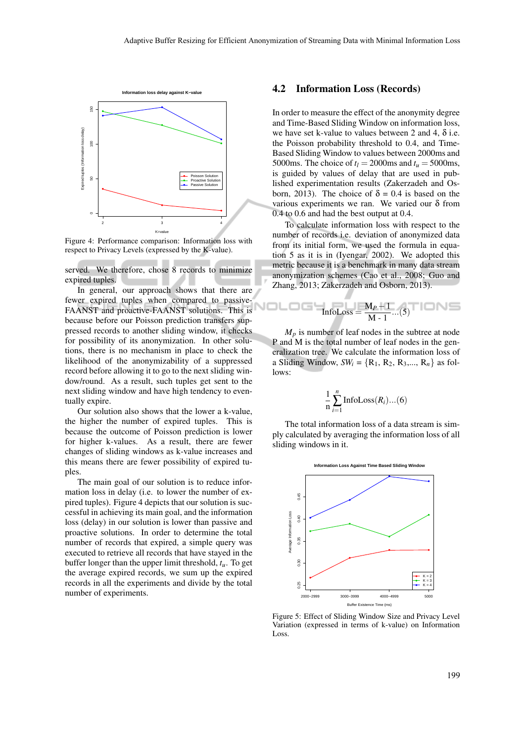NOL



Figure 4: Performance comparison: Information loss with respect to Privacy Levels (expressed by the K-value).

served. We therefore, chose 8 records to minimize expired tuples.

In general, our approach shows that there are fewer expired tuples when compared to passive-FAANST and proactive-FAANST solutions. This is because before our Poisson prediction transfers suppressed records to another sliding window, it checks for possibility of its anonymization. In other solutions, there is no mechanism in place to check the likelihood of the anonymizability of a suppressed record before allowing it to go to the next sliding window/round. As a result, such tuples get sent to the next sliding window and have high tendency to eventually expire.

Our solution also shows that the lower a k-value, the higher the number of expired tuples. This is because the outcome of Poisson prediction is lower for higher k-values. As a result, there are fewer changes of sliding windows as k-value increases and this means there are fewer possibility of expired tuples.

The main goal of our solution is to reduce information loss in delay (i.e. to lower the number of expired tuples). Figure 4 depicts that our solution is successful in achieving its main goal, and the information loss (delay) in our solution is lower than passive and proactive solutions. In order to determine the total number of records that expired, a simple query was executed to retrieve all records that have stayed in the buffer longer than the upper limit threshold, *tu*. To get the average expired records, we sum up the expired records in all the experiments and divide by the total number of experiments.

#### 4.2 Information Loss (Records)

In order to measure the effect of the anonymity degree and Time-Based Sliding Window on information loss, we have set k-value to values between 2 and 4,  $\delta$  i.e. the Poisson probability threshold to 0.4, and Time-Based Sliding Window to values between 2000ms and 5000ms. The choice of  $t_l$  = 2000ms and  $t_u$  = 5000ms, is guided by values of delay that are used in published experimentation results (Zakerzadeh and Osborn, 2013). The choice of  $\delta = 0.4$  is based on the various experiments we ran. We varied our  $\delta$  from 0.4 to 0.6 and had the best output at 0.4.

To calculate information loss with respect to the number of records i.e. deviation of anonymized data from its initial form, we used the formula in equation 5 as it is in (Iyengar, 2002). We adopted this metric because it is a benchmark in many data stream anonymization schemes (Cao et al., 2008; Guo and Zhang, 2013; Zakerzadeh and Osborn, 2013).

$$
InfoLoss = \frac{M_P - 1}{M - 1}...(5)
$$

 $M_p$  is number of leaf nodes in the subtree at node P and M is the total number of leaf nodes in the generalization tree. We calculate the information loss of a Sliding Window,  $SW_i = \{R_1, R_2, R_3, \ldots, R_n\}$  as follows:

$$
\frac{1}{n}\sum_{i=1}^{n}\text{InfoLoss}(R_i)...(6)
$$

The total information loss of a data stream is simply calculated by averaging the information loss of all sliding windows in it.



Figure 5: Effect of Sliding Window Size and Privacy Level Variation (expressed in terms of k-value) on Information Loss.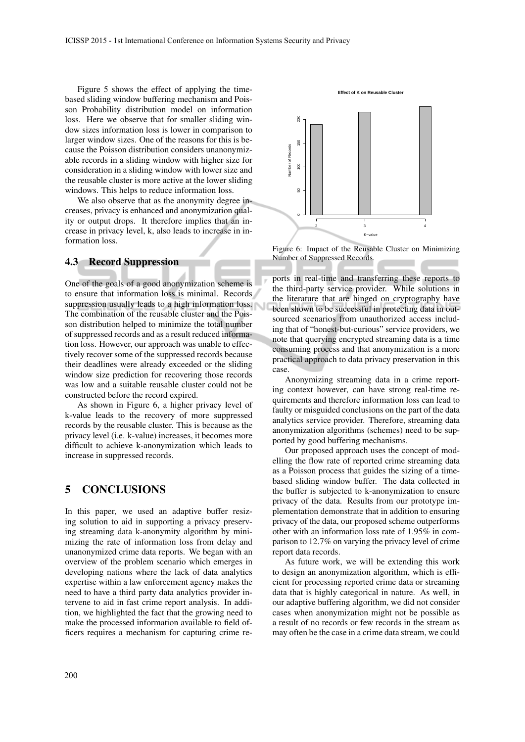Figure 5 shows the effect of applying the timebased sliding window buffering mechanism and Poisson Probability distribution model on information loss. Here we observe that for smaller sliding window sizes information loss is lower in comparison to larger window sizes. One of the reasons for this is because the Poisson distribution considers unanonymizable records in a sliding window with higher size for consideration in a sliding window with lower size and the reusable cluster is more active at the lower sliding windows. This helps to reduce information loss.

We also observe that as the anonymity degree increases, privacy is enhanced and anonymization quality or output drops. It therefore implies that an increase in privacy level, k, also leads to increase in information loss.

## 4.3 Record Suppression

One of the goals of a good anonymization scheme is to ensure that information loss is minimal. Records suppression usually leads to a high information loss. The combination of the reusable cluster and the Poisson distribution helped to minimize the total number of suppressed records and as a result reduced information loss. However, our approach was unable to effectively recover some of the suppressed records because their deadlines were already exceeded or the sliding window size prediction for recovering those records was low and a suitable reusable cluster could not be constructed before the record expired.

As shown in Figure 6, a higher privacy level of k-value leads to the recovery of more suppressed records by the reusable cluster. This is because as the privacy level (i.e. k-value) increases, it becomes more difficult to achieve k-anonymization which leads to increase in suppressed records.

## 5 CONCLUSIONS

In this paper, we used an adaptive buffer resizing solution to aid in supporting a privacy preserving streaming data k-anonymity algorithm by minimizing the rate of information loss from delay and unanonymized crime data reports. We began with an overview of the problem scenario which emerges in developing nations where the lack of data analytics expertise within a law enforcement agency makes the need to have a third party data analytics provider intervene to aid in fast crime report analysis. In addition, we highlighted the fact that the growing need to make the processed information available to field officers requires a mechanism for capturing crime re-



**Effect of K on Reusable Cluster**

Figure 6: Impact of the Reusable Cluster on Minimizing Number of Suppressed Records.

ports in real-time and transferring these reports to the third-party service provider. While solutions in the literature that are hinged on cryptography have been shown to be successful in protecting data in outsourced scenarios from unauthorized access including that of "honest-but-curious" service providers, we note that querying encrypted streaming data is a time consuming process and that anonymization is a more practical approach to data privacy preservation in this case.

Anonymizing streaming data in a crime reporting context however, can have strong real-time requirements and therefore information loss can lead to faulty or misguided conclusions on the part of the data analytics service provider. Therefore, streaming data anonymization algorithms (schemes) need to be supported by good buffering mechanisms.

Our proposed approach uses the concept of modelling the flow rate of reported crime streaming data as a Poisson process that guides the sizing of a timebased sliding window buffer. The data collected in the buffer is subjected to k-anonymization to ensure privacy of the data. Results from our prototype implementation demonstrate that in addition to ensuring privacy of the data, our proposed scheme outperforms other with an information loss rate of 1.95% in comparison to 12.7% on varying the privacy level of crime report data records.

As future work, we will be extending this work to design an anonymization algorithm, which is efficient for processing reported crime data or streaming data that is highly categorical in nature. As well, in our adaptive buffering algorithm, we did not consider cases when anonymization might not be possible as a result of no records or few records in the stream as may often be the case in a crime data stream, we could